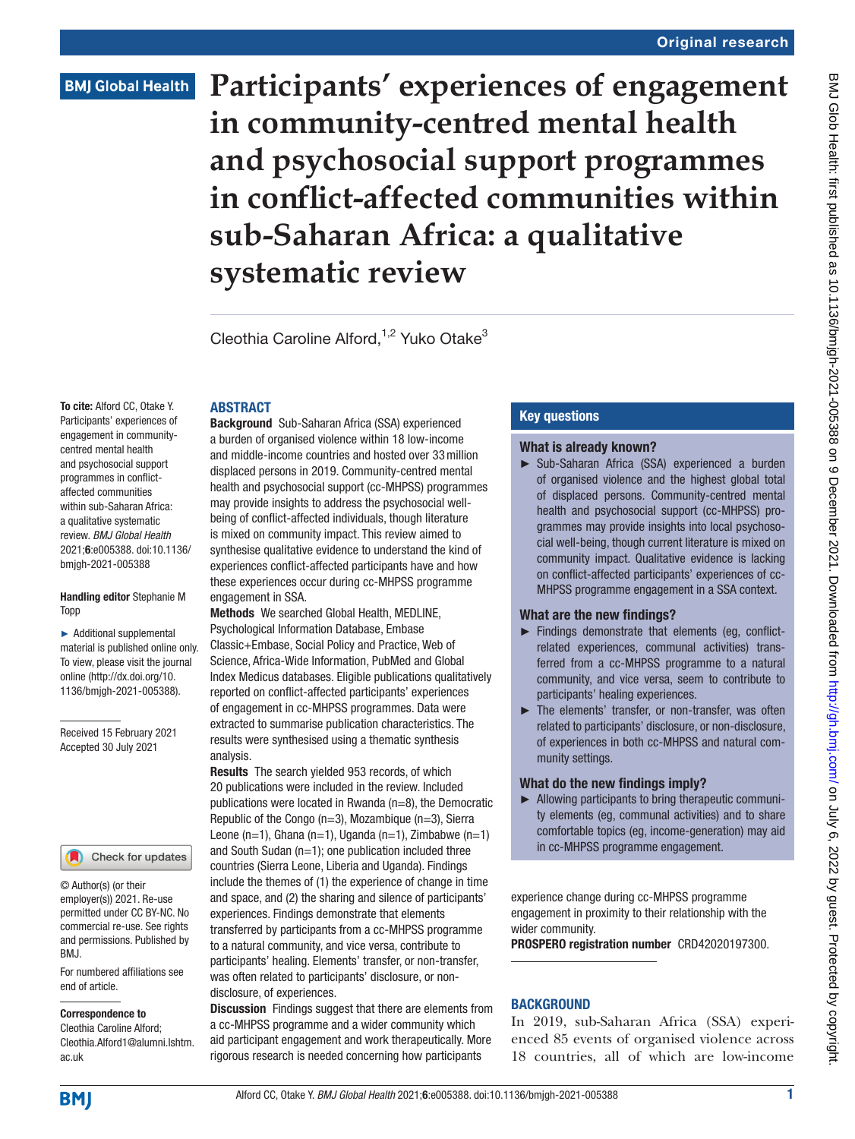# **BMJ Global Health**

**Participants' experiences of engagement in community-centred mental health and psychosocial support programmes in conflict-affected communities within sub-Saharan Africa: a qualitative systematic review**

Cleothia Caroline Alford,<sup>1,2</sup> Yuko Otake<sup>3</sup>

# **ABSTRACT**

To cite: Alford CC, Otake Y. Participants' experiences of engagement in communitycentred mental health and psychosocial support programmes in conflictaffected communities within sub-Saharan Africa: a qualitative systematic review. *BMJ Global Health* 2021;6:e005388. doi:10.1136/ bmjgh-2021-005388

#### Handling editor Stephanie M Topp

► Additional supplemental material is published online only. To view, please visit the journal online ([http://dx.doi.org/10.](http://dx.doi.org/10.1136/bmjgh-2021-005388) [1136/bmjgh-2021-005388](http://dx.doi.org/10.1136/bmjgh-2021-005388)).

Received 15 February 2021 Accepted 30 July 2021

#### Check for updates

© Author(s) (or their employer(s)) 2021. Re-use permitted under CC BY-NC. No commercial re-use. See rights and permissions. Published by BMJ.

For numbered affiliations see end of article.

#### Correspondence to

Cleothia Caroline Alford; Cleothia.Alford1@alumni.lshtm. ac.uk

Background Sub-Saharan Africa (SSA) experienced a burden of organised violence within 18 low-income and middle-income countries and hosted over 33million displaced persons in 2019. Community-centred mental health and psychosocial support (cc-MHPSS) programmes may provide insights to address the psychosocial wellbeing of conflict-affected individuals, though literature is mixed on community impact. This review aimed to synthesise qualitative evidence to understand the kind of experiences conflict-affected participants have and how these experiences occur during cc-MHPSS programme engagement in SSA.

Methods We searched Global Health, MEDLINE, Psychological Information Database, Embase Classic+Embase, Social Policy and Practice, Web of Science, Africa-Wide Information, PubMed and Global Index Medicus databases. Eligible publications qualitatively reported on conflict-affected participants' experiences of engagement in cc-MHPSS programmes. Data were extracted to summarise publication characteristics. The results were synthesised using a thematic synthesis analysis.

Results The search yielded 953 records, of which 20 publications were included in the review. Included publications were located in Rwanda (n=8), the Democratic Republic of the Congo  $(n=3)$ , Mozambique  $(n=3)$ , Sierra Leone (n=1), Ghana (n=1), Uganda (n=1), Zimbabwe (n=1) and South Sudan (n=1); one publication included three countries (Sierra Leone, Liberia and Uganda). Findings include the themes of (1) the experience of change in time and space, and (2) the sharing and silence of participants' experiences. Findings demonstrate that elements transferred by participants from a cc-MHPSS programme to a natural community, and vice versa, contribute to participants' healing. Elements' transfer, or non-transfer, was often related to participants' disclosure, or nondisclosure, of experiences.

**Discussion** Findings suggest that there are elements from a cc-MHPSS programme and a wider community which aid participant engagement and work therapeutically. More rigorous research is needed concerning how participants

# Key questions

#### What is already known?

► Sub-Saharan Africa (SSA) experienced a burden of organised violence and the highest global total of displaced persons. Community-centred mental health and psychosocial support (cc-MHPSS) programmes may provide insights into local psychosocial well-being, though current literature is mixed on community impact. Qualitative evidence is lacking on conflict-affected participants' experiences of cc-MHPSS programme engagement in a SSA context.

### What are the new findings?

- ► Findings demonstrate that elements (eg, conflictrelated experiences, communal activities) transferred from a cc-MHPSS programme to a natural community, and vice versa, seem to contribute to participants' healing experiences.
- ► The elements' transfer, or non-transfer, was often related to participants' disclosure, or non-disclosure, of experiences in both cc-MHPSS and natural community settings.

#### What do the new findings imply?

► Allowing participants to bring therapeutic community elements (eg, communal activities) and to share comfortable topics (eg, income-generation) may aid in cc-MHPSS programme engagement.

experience change during cc-MHPSS programme engagement in proximity to their relationship with the wider community.

PROSPERO registration number CRD42020197300.

# **BACKGROUND**

In 2019, sub-Saharan Africa (SSA) experienced 85 events of organised violence across 18 countries, all of which are low-income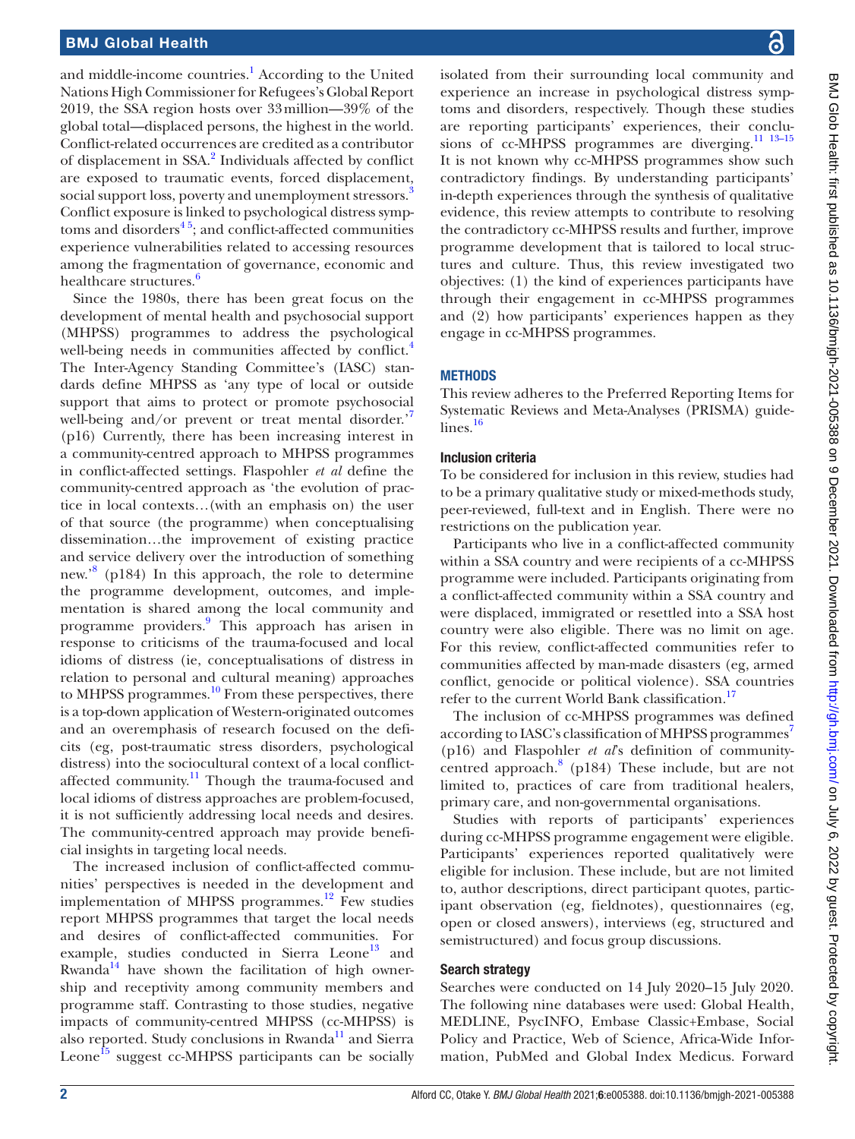# BMJ Global Health

and middle-income countries.<sup>[1](#page-10-0)</sup> According to the United Nations High Commissioner for Refugees's Global Report 2019, the SSA region hosts over 33million—39% of the global total—displaced persons, the highest in the world. Conflict-related occurrences are credited as a contributor of displacement in SSA.<sup>[2](#page-10-1)</sup> Individuals affected by conflict are exposed to traumatic events, forced displacement, social support loss, poverty and unemployment stressors.<sup>[3](#page-10-2)</sup> Conflict exposure is linked to psychological distress symptoms and disorders $4^5$ ; and conflict-affected communities experience vulnerabilities related to accessing resources among the fragmentation of governance, economic and healthcare structures.<sup>6</sup>

Since the 1980s, there has been great focus on the development of mental health and psychosocial support (MHPSS) programmes to address the psychological well-being needs in communities affected by conflict.<sup>[4](#page-10-3)</sup> The Inter-Agency Standing Committee's (IASC) standards define MHPSS as 'any type of local or outside support that aims to protect or promote psychosocial well-being and/or prevent or treat mental disorder.<sup>'[7](#page-10-5)</sup> (p16) Currently, there has been increasing interest in a community-centred approach to MHPSS programmes in conflict-affected settings. Flaspohler *et al* define the community-centred approach as 'the evolution of practice in local contexts…(with an emphasis on) the user of that source (the programme) when conceptualising dissemination…the improvement of existing practice and service delivery over the introduction of something new.<sup>[8](#page-10-6)</sup> (p184) In this approach, the role to determine the programme development, outcomes, and implementation is shared among the local community and programme providers.<sup>9</sup> This approach has arisen in response to criticisms of the trauma-focused and local idioms of distress (ie, conceptualisations of distress in relation to personal and cultural meaning) approaches to MHPSS programmes.<sup>10</sup> From these perspectives, there is a top-down application of Western-originated outcomes and an overemphasis of research focused on the deficits (eg, post-traumatic stress disorders, psychological distress) into the sociocultural context of a local conflict-affected community.<sup>[11](#page-10-9)</sup> Though the trauma-focused and local idioms of distress approaches are problem-focused, it is not sufficiently addressing local needs and desires. The community-centred approach may provide beneficial insights in targeting local needs.

The increased inclusion of conflict-affected communities' perspectives is needed in the development and implementation of MHPSS programmes.<sup>12</sup> Few studies report MHPSS programmes that target the local needs and desires of conflict-affected communities. For example, studies conducted in Sierra Leone<sup>13</sup> and Rwanda $14$  have shown the facilitation of high ownership and receptivity among community members and programme staff. Contrasting to those studies, negative impacts of community-centred MHPSS (cc-MHPSS) is also reported. Study conclusions in Rwanda<sup>11</sup> and Sierra Leone<sup>15</sup> suggest cc-MHPSS participants can be socially

isolated from their surrounding local community and experience an increase in psychological distress symptoms and disorders, respectively. Though these studies are reporting participants' experiences, their conclusions of cc-MHPSS programmes are diverging.<sup>11</sup> <sup>13-15</sup> It is not known why cc-MHPSS programmes show such contradictory findings. By understanding participants' in-depth experiences through the synthesis of qualitative evidence, this review attempts to contribute to resolving the contradictory cc-MHPSS results and further, improve programme development that is tailored to local structures and culture. Thus, this review investigated two objectives: (1) the kind of experiences participants have through their engagement in cc-MHPSS programmes and (2) how participants' experiences happen as they engage in cc-MHPSS programmes.

# **METHODS**

This review adheres to the Preferred Reporting Items for Systematic Reviews and Meta-Analyses (PRISMA) guide- $\text{lines.}^{16}$  $\text{lines.}^{16}$  $\text{lines.}^{16}$ 

# Inclusion criteria

To be considered for inclusion in this review, studies had to be a primary qualitative study or mixed-methods study, peer-reviewed, full-text and in English. There were no restrictions on the publication year.

Participants who live in a conflict-affected community within a SSA country and were recipients of a cc-MHPSS programme were included. Participants originating from a conflict-affected community within a SSA country and were displaced, immigrated or resettled into a SSA host country were also eligible. There was no limit on age. For this review, conflict-affected communities refer to communities affected by man-made disasters (eg, armed conflict, genocide or political violence). SSA countries refer to the current World Bank classification.<sup>17</sup>

The inclusion of cc-MHPSS programmes was defined according to IASC's classification of MHPSS programmes<sup>[7](#page-10-5)</sup> (p16) and Flaspohler *et al*'s definition of community-centred approach.<sup>[8](#page-10-6)</sup> (p184) These include, but are not limited to, practices of care from traditional healers, primary care, and non-governmental organisations.

Studies with reports of participants' experiences during cc-MHPSS programme engagement were eligible. Participants' experiences reported qualitatively were eligible for inclusion. These include, but are not limited to, author descriptions, direct participant quotes, participant observation (eg, fieldnotes), questionnaires (eg, open or closed answers), interviews (eg, structured and semistructured) and focus group discussions.

# Search strategy

Searches were conducted on 14 July 2020–15 July 2020. The following nine databases were used: Global Health, MEDLINE, PsycINFO, Embase Classic+Embase, Social Policy and Practice, Web of Science, Africa-Wide Information, PubMed and Global Index Medicus. Forward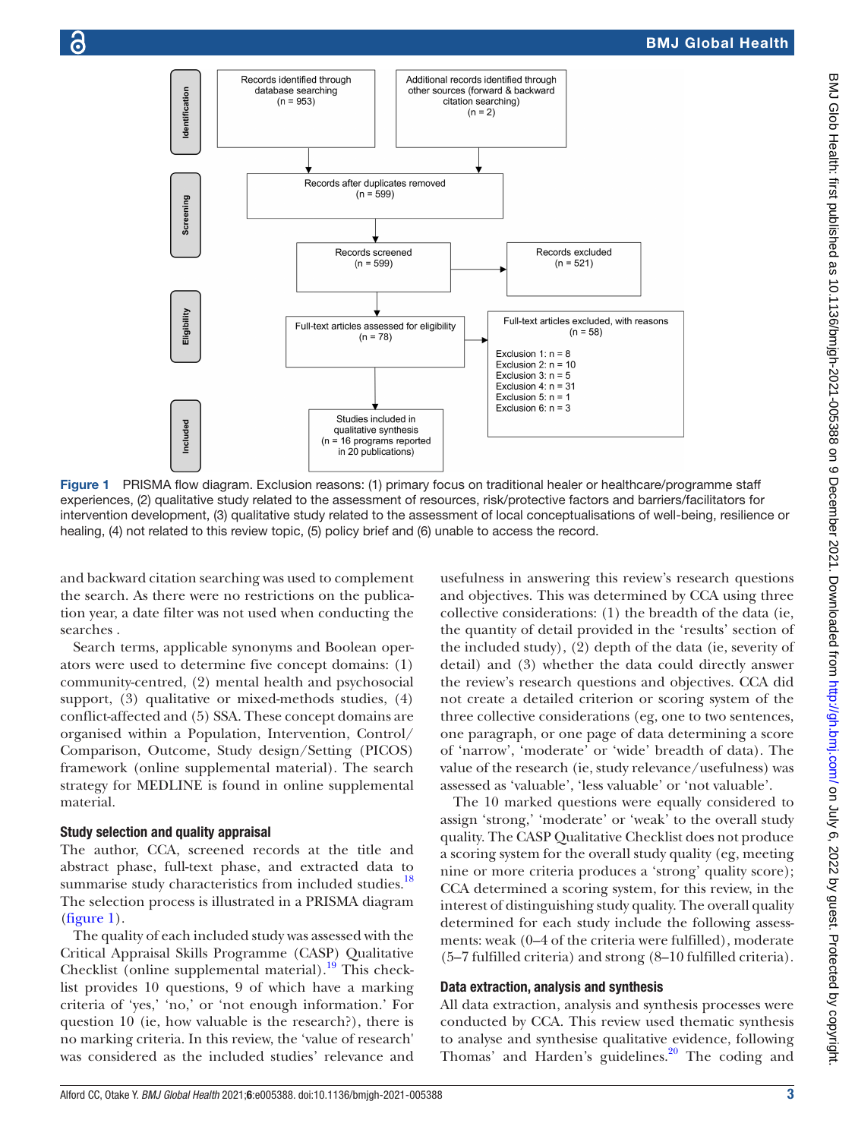

Figure 1 PRISMA flow diagram. Exclusion reasons: (1) primary focus on traditional healer or healthcare/programme staff experiences, (2) qualitative study related to the assessment of resources, risk/protective factors and barriers/facilitators for intervention development, (3) qualitative study related to the assessment of local conceptualisations of well-being, resilience or healing, (4) not related to this review topic, (5) policy brief and (6) unable to access the record.

and backward citation searching was used to complement the search. As there were no restrictions on the publication year, a date filter was not used when conducting the searches .

Search terms, applicable synonyms and Boolean operators were used to determine five concept domains: (1) community-centred, (2) mental health and psychosocial support, (3) qualitative or mixed-methods studies, (4) conflict-affected and (5) SSA. These concept domains are organised within a Population, Intervention, Control/ Comparison, Outcome, Study design/Setting (PICOS) framework [\(online supplemental material](https://dx.doi.org/10.1136/bmjgh-2021-005388)). The search strategy for MEDLINE is found in [online supplemental](https://dx.doi.org/10.1136/bmjgh-2021-005388) [material](https://dx.doi.org/10.1136/bmjgh-2021-005388).

# Study selection and quality appraisal

The author, CCA, screened records at the title and abstract phase, full-text phase, and extracted data to summarise study characteristics from included studies.<sup>18</sup> The selection process is illustrated in a PRISMA diagram [\(figure](#page-2-0) 1).

The quality of each included study was assessed with the Critical Appraisal Skills Programme (CASP) Qualitative Checklist ([online supplemental material\)](https://dx.doi.org/10.1136/bmjgh-2021-005388).[19](#page-10-17) This checklist provides 10 questions, 9 of which have a marking criteria of 'yes,' 'no,' or 'not enough information.' For question 10 (ie, how valuable is the research?), there is no marking criteria. In this review, the 'value of research' was considered as the included studies' relevance and

<span id="page-2-0"></span>usefulness in answering this review's research questions and objectives. This was determined by CCA using three collective considerations: (1) the breadth of the data (ie, the quantity of detail provided in the 'results' section of the included study), (2) depth of the data (ie, severity of detail) and (3) whether the data could directly answer the review's research questions and objectives. CCA did not create a detailed criterion or scoring system of the three collective considerations (eg, one to two sentences, one paragraph, or one page of data determining a score of 'narrow', 'moderate' or 'wide' breadth of data). The value of the research (ie, study relevance/usefulness) was assessed as 'valuable', 'less valuable' or 'not valuable'.

The 10 marked questions were equally considered to assign 'strong,' 'moderate' or 'weak' to the overall study quality. The CASP Qualitative Checklist does not produce a scoring system for the overall study quality (eg, meeting nine or more criteria produces a 'strong' quality score); CCA determined a scoring system, for this review, in the interest of distinguishing study quality. The overall quality determined for each study include the following assessments: weak (0–4 of the criteria were fulfilled), moderate (5–7 fulfilled criteria) and strong (8–10 fulfilled criteria).

# Data extraction, analysis and synthesis

All data extraction, analysis and synthesis processes were conducted by CCA. This review used thematic synthesis to analyse and synthesise qualitative evidence, following Thomas' and Harden's guidelines.<sup>20</sup> The coding and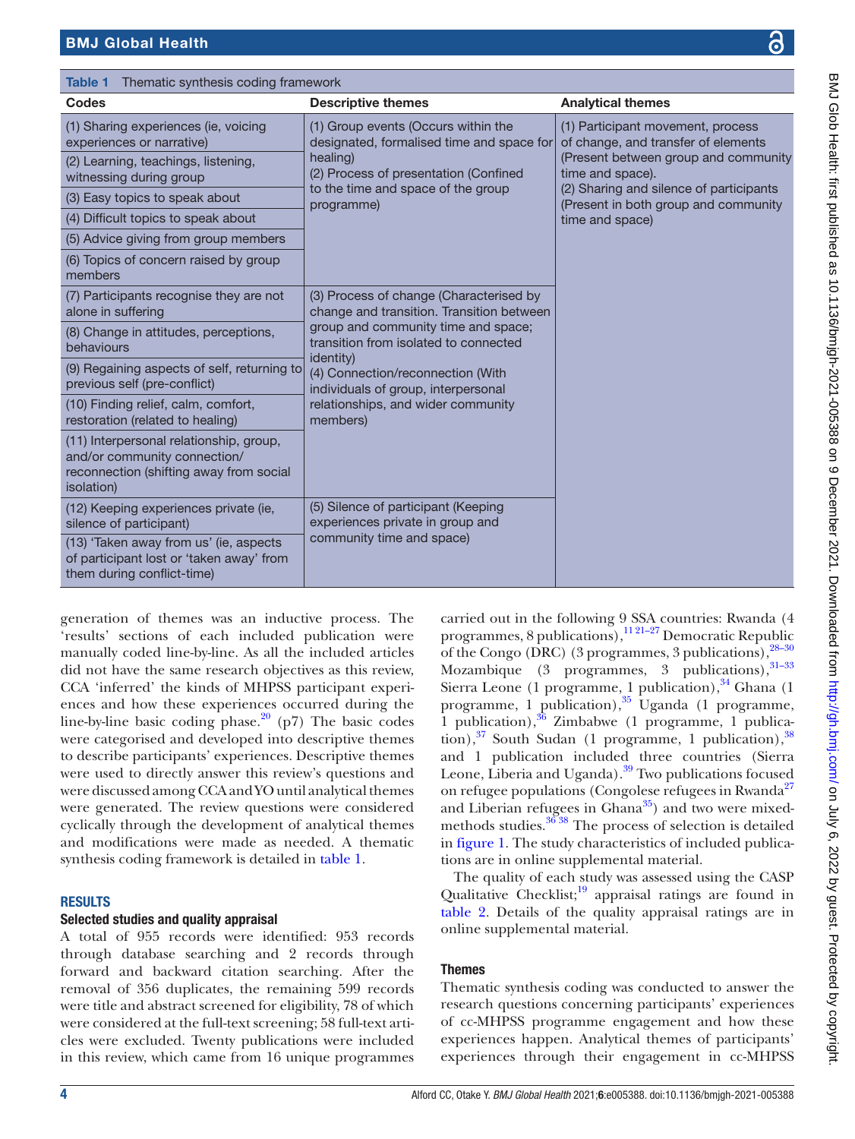<span id="page-3-0"></span>

| Thematic synthesis coding framework<br><b>Table 1</b>                                                                                    |                                                                                       |                                                                                 |  |  |  |  |
|------------------------------------------------------------------------------------------------------------------------------------------|---------------------------------------------------------------------------------------|---------------------------------------------------------------------------------|--|--|--|--|
| <b>Codes</b>                                                                                                                             | <b>Descriptive themes</b>                                                             | <b>Analytical themes</b>                                                        |  |  |  |  |
| (1) Sharing experiences (ie, voicing<br>experiences or narrative)                                                                        | (1) Group events (Occurs within the<br>designated, formalised time and space for      | (1) Participant movement, process<br>of change, and transfer of elements        |  |  |  |  |
| (2) Learning, teachings, listening,<br>witnessing during group                                                                           | healing)<br>(2) Process of presentation (Confined                                     | (Present between group and community<br>time and space).                        |  |  |  |  |
| (3) Easy topics to speak about                                                                                                           | to the time and space of the group<br>programme)                                      | (2) Sharing and silence of participants<br>(Present in both group and community |  |  |  |  |
| (4) Difficult topics to speak about                                                                                                      |                                                                                       | time and space)                                                                 |  |  |  |  |
| (5) Advice giving from group members                                                                                                     |                                                                                       |                                                                                 |  |  |  |  |
| (6) Topics of concern raised by group<br>members                                                                                         |                                                                                       |                                                                                 |  |  |  |  |
| (7) Participants recognise they are not<br>alone in suffering                                                                            | (3) Process of change (Characterised by<br>change and transition. Transition between  |                                                                                 |  |  |  |  |
| (8) Change in attitudes, perceptions,<br>behaviours                                                                                      | group and community time and space;<br>transition from isolated to connected          |                                                                                 |  |  |  |  |
| (9) Regaining aspects of self, returning to<br>previous self (pre-conflict)                                                              | identity)<br>(4) Connection/reconnection (With<br>individuals of group, interpersonal |                                                                                 |  |  |  |  |
| (10) Finding relief, calm, comfort,<br>restoration (related to healing)                                                                  | relationships, and wider community<br>members)                                        |                                                                                 |  |  |  |  |
| (11) Interpersonal relationship, group,<br>and/or community connection/<br>reconnection (shifting away from social<br><i>isolation</i> ) |                                                                                       |                                                                                 |  |  |  |  |
| (12) Keeping experiences private (ie,<br>silence of participant)                                                                         | (5) Silence of participant (Keeping<br>experiences private in group and               |                                                                                 |  |  |  |  |
| (13) 'Taken away from us' (ie, aspects<br>of participant lost or 'taken away' from<br>them during conflict-time)                         | community time and space)                                                             |                                                                                 |  |  |  |  |

generation of themes was an inductive process. The 'results' sections of each included publication were manually coded line-by-line. As all the included articles did not have the same research objectives as this review, CCA 'inferred' the kinds of MHPSS participant experiences and how these experiences occurred during the line-by-line basic coding phase.<sup>20</sup> (p7) The basic codes were categorised and developed into descriptive themes to describe participants' experiences. Descriptive themes were used to directly answer this review's questions and were discussed among CCA and YO until analytical themes were generated. The review questions were considered cyclically through the development of analytical themes and modifications were made as needed. A thematic synthesis coding framework is detailed in [table](#page-3-0) 1.

# RESULTS

# Selected studies and quality appraisal

A total of 955 records were identified: 953 records through database searching and 2 records through forward and backward citation searching. After the removal of 356 duplicates, the remaining 599 records were title and abstract screened for eligibility, 78 of which were considered at the full-text screening; 58 full-text articles were excluded. Twenty publications were included in this review, which came from 16 unique programmes

carried out in the following 9 SSA countries: Rwanda (4 programmes, 8 publications), $\frac{11 \cdot 21 - 27}{20}$  Democratic Republic of the Congo (DRC) (3 programmes, 3 publications), $28-30$ Mozambique (3 programmes,  $3$  publications),  $3^{1-33}$ Sierra Leone (1 programme, 1 publication), $34$  Ghana (1 programme, 1 publication), $35 \text{ Uganda}$  (1 programme, 1 publication), $36$  Zimbabwe (1 programme, 1 publication), $37$  South Sudan (1 programme, 1 publication),  $38$ and 1 publication included three countries (Sierra Leone, Liberia and Uganda).<sup>39</sup> Two publications focused on refugee populations (Congolese refugees in Rwanda<sup>[27](#page-10-21)</sup> and Liberian refugees in Ghana $^{35}$ ) and two were mixedmethods studies. $36\overline{38}$  The process of selection is detailed in [figure](#page-2-0) 1. The study characteristics of included publications are in [online supplemental material](https://dx.doi.org/10.1136/bmjgh-2021-005388).

The quality of each study was assessed using the CASP Qualitative Checklist; $19$  appraisal ratings are found in [table](#page-4-0) 2. Details of the quality appraisal ratings are in [online supplemental material.](https://dx.doi.org/10.1136/bmjgh-2021-005388)

# Themes

Thematic synthesis coding was conducted to answer the research questions concerning participants' experiences of cc-MHPSS programme engagement and how these experiences happen. Analytical themes of participants' experiences through their engagement in cc-MHPSS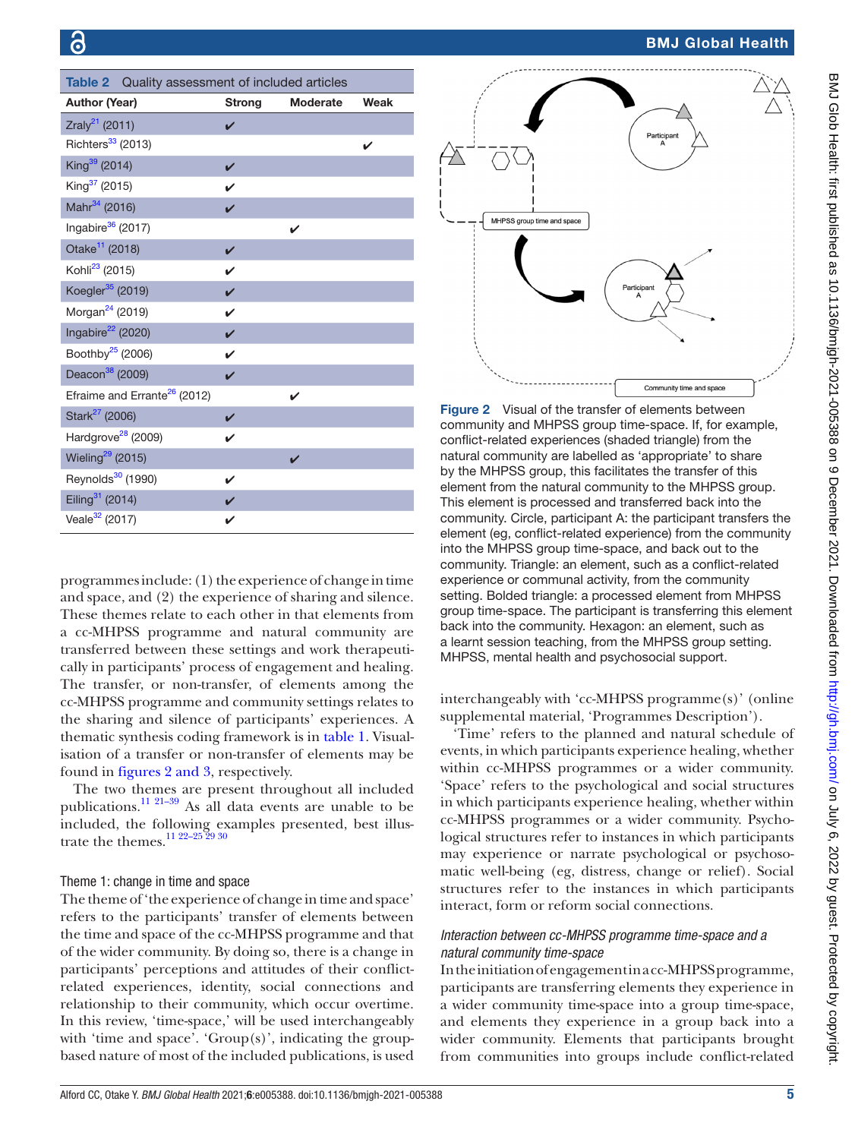<span id="page-4-0"></span>Table 2 Quality asse

Efraime and Errante<sup>26</sup> (20

Stark $^{27}$  (2006) Hardgrove $28$  (2009) Wieling $^{29}$  (2015) Reynolds $30$  (1990) Eiling $31$  (2014) Veale $32$  (2017)

**Author (Year)**  $Zr$ aly<sup>21</sup> (2011) Richters $33$  (2013) King $39$  (2014)  $King<sup>37</sup> (2015)$ Mahr $^{34}$  (2016) Ingabire $36$  (2017) Otake $^{11}$  (2018) Kohli $^{23}$  (2015) Koegle $r^{35}$  $r^{35}$  $r^{35}$  (2019) Morgan $^{24}$  (2019) Ingabire $^{22}$  (2020) Boothby $25$  (2006) Deacon $38$  (2009)

# **BMJ Global Health**

| ssment of included articles |               |                 |      |                                                                                                                |  |
|-----------------------------|---------------|-----------------|------|----------------------------------------------------------------------------------------------------------------|--|
|                             | <b>Strong</b> | <b>Moderate</b> | Weak |                                                                                                                |  |
|                             | V             |                 |      |                                                                                                                |  |
|                             |               |                 | V    |                                                                                                                |  |
|                             | V             |                 |      |                                                                                                                |  |
|                             | V             |                 |      |                                                                                                                |  |
|                             | $\mathbf v$   |                 |      |                                                                                                                |  |
|                             |               | ✓               |      | MHPSS group time and space                                                                                     |  |
|                             | V             |                 |      |                                                                                                                |  |
|                             | V             |                 |      |                                                                                                                |  |
|                             | V             |                 |      |                                                                                                                |  |
|                             | V             |                 |      |                                                                                                                |  |
|                             | V             |                 |      |                                                                                                                |  |
|                             | V             |                 |      |                                                                                                                |  |
|                             | V             |                 |      |                                                                                                                |  |
| 12)                         |               | V               |      |                                                                                                                |  |
|                             | V             |                 |      | Figure 2 Visual of the tra<br>community and MHPSS g                                                            |  |
|                             | ✓             |                 |      | conflict-related experienc                                                                                     |  |
|                             |               | V               |      | natural community are lab<br>by the MHPSS group, this<br>element from the natural<br>This element is processed |  |
|                             | V             |                 |      |                                                                                                                |  |
|                             |               |                 |      |                                                                                                                |  |
|                             | V             |                 |      | community. Circle, partici                                                                                     |  |
|                             |               |                 |      | element (eg, conflict-relat                                                                                    |  |

programmes include: (1) the experience of change in time and space, and (2) the experience of sharing and silence. These themes relate to each other in that elements from a cc-MHPSS programme and natural community are transferred between these settings and work therapeutically in participants' process of engagement and healing. The transfer, or non-transfer, of elements among the cc-MHPSS programme and community settings relates to the sharing and silence of participants' experiences. A thematic synthesis coding framework is in [table](#page-3-0) 1. Visualisation of a transfer or non-transfer of elements may be found in figures [2 and 3,](#page-4-1) respectively.

The two themes are present throughout all included publications.<sup>11 21–39</sup> As all data events are unable to be included, the following examples presented, best illustrate the themes.<sup>11 22–25 29</sup> 30

# Theme 1: change in time and space

The theme of 'the experience of change in time and space' refers to the participants' transfer of elements between the time and space of the cc-MHPSS programme and that of the wider community. By doing so, there is a change in participants' perceptions and attitudes of their conflictrelated experiences, identity, social connections and relationship to their community, which occur overtime. In this review, 'time-space,' will be used interchangeably with 'time and space'. 'Group(s)', indicating the groupbased nature of most of the included publications, is used



<span id="page-4-1"></span>ansfer of elements between group time-space. If, for example, ces (shaded triangle) from the pelled as 'appropriate' to share s facilitates the transfer of this community to the MHPSS group. d and transferred back into the ipant A: the participant transfers the ted experience) from the community into the MHPSS group time-space, and back out to the community. Triangle: an element, such as a conflict-related experience or communal activity, from the community setting. Bolded triangle: a processed element from MHPSS group time-space. The participant is transferring this element back into the community. Hexagon: an element, such as a learnt session teaching, from the MHPSS group setting. MHPSS, mental health and psychosocial support.

interchangeably with 'cc-MHPSS programme(s)' [\(online](https://dx.doi.org/10.1136/bmjgh-2021-005388) [supplemental material,](https://dx.doi.org/10.1136/bmjgh-2021-005388) 'Programmes Description').

'Time' refers to the planned and natural schedule of events, in which participants experience healing, whether within cc-MHPSS programmes or a wider community. 'Space' refers to the psychological and social structures in which participants experience healing, whether within cc-MHPSS programmes or a wider community. Psychological structures refer to instances in which participants may experience or narrate psychological or psychosomatic well-being (eg, distress, change or relief). Social structures refer to the instances in which participants interact, form or reform social connections.

### *Interaction between cc-MHPSS programme time-space and a natural community time-space*

In the initiation of engagement in a cc-MHPSS programme, participants are transferring elements they experience in a wider community time-space into a group time-space, and elements they experience in a group back into a wider community. Elements that participants brought from communities into groups include conflict-related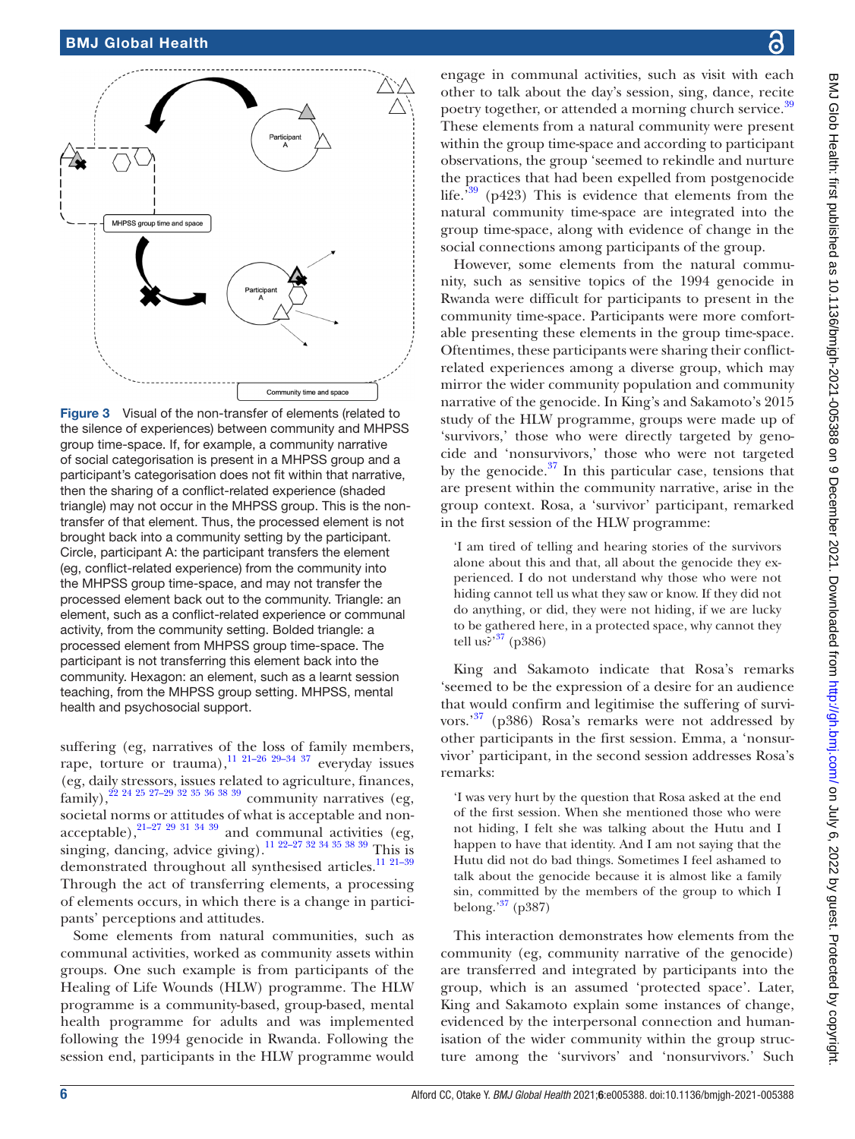<span id="page-5-0"></span>

Figure 3 Visual of the non-transfer of elements (related to the silence of experiences) between community and MHPSS group time-space. If, for example, a community narrative of social categorisation is present in a MHPSS group and a participant's categorisation does not fit within that narrative, then the sharing of a conflict-related experience (shaded triangle) may not occur in the MHPSS group. This is the nontransfer of that element. Thus, the processed element is not brought back into a community setting by the participant. Circle, participant A: the participant transfers the element (eg, conflict-related experience) from the community into the MHPSS group time-space, and may not transfer the processed element back out to the community. Triangle: an element, such as a conflict-related experience or communal activity, from the community setting. Bolded triangle: a processed element from MHPSS group time-space. The participant is not transferring this element back into the community. Hexagon: an element, such as a learnt session teaching, from the MHPSS group setting. MHPSS, mental health and psychosocial support.

suffering (eg, narratives of the loss of family members, rape, torture or trauma),<sup>11 21–26</sup> <sup>29–34 37</sup> everyday issues (eg, daily stressors, issues related to agriculture, finances, family),  $^{22}$   $^{24}$   $^{25}$   $^{27-29}$   $^{32}$   $^{35}$   $^{36}$   $^{39}$  community narratives (eg, societal norms or attitudes of what is acceptable and nonacceptable), $21-27$   $29$   $31$   $34$   $39$  and communal activities (eg, singing, dancing, advice giving).<sup>11 22-27 32 34 35 38 39</sup> This is demonstrated throughout all synthesised articles.<sup>11 21-39</sup> Through the act of transferring elements, a processing of elements occurs, in which there is a change in participants' perceptions and attitudes.

Some elements from natural communities, such as communal activities, worked as community assets within groups. One such example is from participants of the Healing of Life Wounds (HLW) programme. The HLW programme is a community-based, group-based, mental health programme for adults and was implemented following the 1994 genocide in Rwanda. Following the session end, participants in the HLW programme would

engage in communal activities, such as visit with each other to talk about the day's session, sing, dance, recite poetry together, or attended a morning church service.<sup>[39](#page-11-5)</sup> These elements from a natural community were present within the group time-space and according to participant observations, the group 'seemed to rekindle and nurture the practices that had been expelled from postgenocide life.<sup>5[39](#page-11-5)</sup> (p423) This is evidence that elements from the natural community time-space are integrated into the group time-space, along with evidence of change in the social connections among participants of the group.

However, some elements from the natural community, such as sensitive topics of the 1994 genocide in Rwanda were difficult for participants to present in the community time-space. Participants were more comfortable presenting these elements in the group time-space. Oftentimes, these participants were sharing their conflictrelated experiences among a diverse group, which may mirror the wider community population and community narrative of the genocide. In King's and Sakamoto's 2015 study of the HLW programme, groups were made up of 'survivors,' those who were directly targeted by genocide and 'nonsurvivors,' those who were not targeted by the genocide. $37$  In this particular case, tensions that are present within the community narrative, arise in the group context. Rosa, a 'survivor' participant, remarked in the first session of the HLW programme:

'I am tired of telling and hearing stories of the survivors alone about this and that, all about the genocide they experienced. I do not understand why those who were not hiding cannot tell us what they saw or know. If they did not do anything, or did, they were not hiding, if we are lucky to be gathered here, in a protected space, why cannot they tell us?'<sup>37</sup> (p386)

King and Sakamoto indicate that Rosa's remarks 'seemed to be the expression of a desire for an audience that would confirm and legitimise the suffering of survivors.['37](#page-11-3) (p386) Rosa's remarks were not addressed by other participants in the first session. Emma, a 'nonsurvivor' participant, in the second session addresses Rosa's remarks:

'I was very hurt by the question that Rosa asked at the end of the first session. When she mentioned those who were not hiding, I felt she was talking about the Hutu and I happen to have that identity. And I am not saying that the Hutu did not do bad things. Sometimes I feel ashamed to talk about the genocide because it is almost like a family sin, committed by the members of the group to which I belong.<sup>37</sup> (p387)

This interaction demonstrates how elements from the community (eg, community narrative of the genocide) are transferred and integrated by participants into the group, which is an assumed 'protected space'. Later, King and Sakamoto explain some instances of change, evidenced by the interpersonal connection and humanisation of the wider community within the group structure among the 'survivors' and 'nonsurvivors.' Such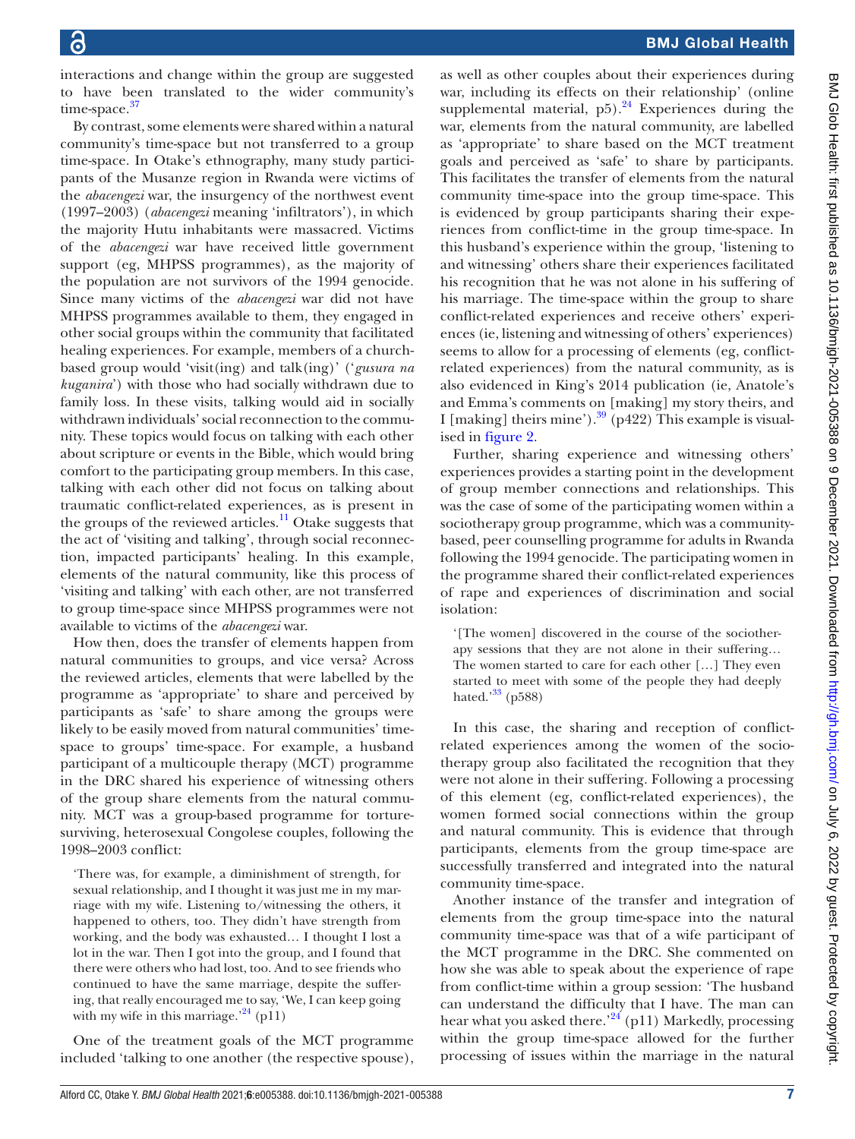interactions and change within the group are suggested to have been translated to the wider community's time-space.<sup>[37](#page-11-3)</sup>

By contrast, some elements were shared within a natural community's time-space but not transferred to a group time-space. In Otake's ethnography, many study participants of the Musanze region in Rwanda were victims of the *abacengezi* war, the insurgency of the northwest event (1997–2003) (*abacengezi* meaning 'infiltrators'), in which the majority Hutu inhabitants were massacred. Victims of the *abacengezi* war have received little government support (eg, MHPSS programmes), as the majority of the population are not survivors of the 1994 genocide. Since many victims of the *abacengezi* war did not have MHPSS programmes available to them, they engaged in other social groups within the community that facilitated healing experiences. For example, members of a churchbased group would 'visit(ing) and talk(ing)' ('*gusura na kuganira*') with those who had socially withdrawn due to family loss. In these visits, talking would aid in socially withdrawn individuals' social reconnection to the community. These topics would focus on talking with each other about scripture or events in the Bible, which would bring comfort to the participating group members. In this case, talking with each other did not focus on talking about traumatic conflict-related experiences, as is present in the groups of the reviewed articles.<sup>11</sup> Otake suggests that the act of 'visiting and talking', through social reconnection, impacted participants' healing. In this example, elements of the natural community, like this process of 'visiting and talking' with each other, are not transferred to group time-space since MHPSS programmes were not available to victims of the *abacengezi* war.

How then, does the transfer of elements happen from natural communities to groups, and vice versa? Across the reviewed articles, elements that were labelled by the programme as 'appropriate' to share and perceived by participants as 'safe' to share among the groups were likely to be easily moved from natural communities' timespace to groups' time-space. For example, a husband participant of a multicouple therapy (MCT) programme in the DRC shared his experience of witnessing others of the group share elements from the natural community. MCT was a group-based programme for torturesurviving, heterosexual Congolese couples, following the 1998–2003 conflict:

'There was, for example, a diminishment of strength, for sexual relationship, and I thought it was just me in my marriage with my wife. Listening to/witnessing the others, it happened to others, too. They didn't have strength from working, and the body was exhausted… I thought I lost a lot in the war. Then I got into the group, and I found that there were others who had lost, too. And to see friends who continued to have the same marriage, despite the suffering, that really encouraged me to say, 'We, I can keep going with my wife in this marriage. $124$  (p11)

One of the treatment goals of the MCT programme included 'talking to one another (the respective spouse),

# BMJ Global Health

as well as other couples about their experiences during war, including its effects on their relationship' [\(online](https://dx.doi.org/10.1136/bmjgh-2021-005388) [supplemental material](https://dx.doi.org/10.1136/bmjgh-2021-005388),  $p5$ ).<sup>24</sup> Experiences during the war, elements from the natural community, are labelled as 'appropriate' to share based on the MCT treatment goals and perceived as 'safe' to share by participants. This facilitates the transfer of elements from the natural community time-space into the group time-space. This is evidenced by group participants sharing their experiences from conflict-time in the group time-space. In this husband's experience within the group, 'listening to and witnessing' others share their experiences facilitated his recognition that he was not alone in his suffering of his marriage. The time-space within the group to share conflict-related experiences and receive others' experiences (ie, listening and witnessing of others' experiences) seems to allow for a processing of elements (eg, conflictrelated experiences) from the natural community, as is also evidenced in King's 2014 publication (ie, Anatole's and Emma's comments on [making] my story theirs, and I [making] theirs mine').<sup>39</sup> (p422) This example is visualised in [figure](#page-4-1) 2.

Further, sharing experience and witnessing others' experiences provides a starting point in the development of group member connections and relationships. This was the case of some of the participating women within a sociotherapy group programme, which was a communitybased, peer counselling programme for adults in Rwanda following the 1994 genocide. The participating women in the programme shared their conflict-related experiences of rape and experiences of discrimination and social isolation:

'[The women] discovered in the course of the sociotherapy sessions that they are not alone in their suffering… The women started to care for each other […] They even started to meet with some of the people they had deeply hated. $33$  (p588)

In this case, the sharing and reception of conflictrelated experiences among the women of the sociotherapy group also facilitated the recognition that they were not alone in their suffering. Following a processing of this element (eg, conflict-related experiences), the women formed social connections within the group and natural community. This is evidence that through participants, elements from the group time-space are successfully transferred and integrated into the natural community time-space.

Another instance of the transfer and integration of elements from the group time-space into the natural community time-space was that of a wife participant of the MCT programme in the DRC. She commented on how she was able to speak about the experience of rape from conflict-time within a group session: 'The husband can understand the difficulty that I have. The man can hear what you asked there.'<sup>[24](#page-10-25)</sup> (p11) Markedly, processing within the group time-space allowed for the further processing of issues within the marriage in the natural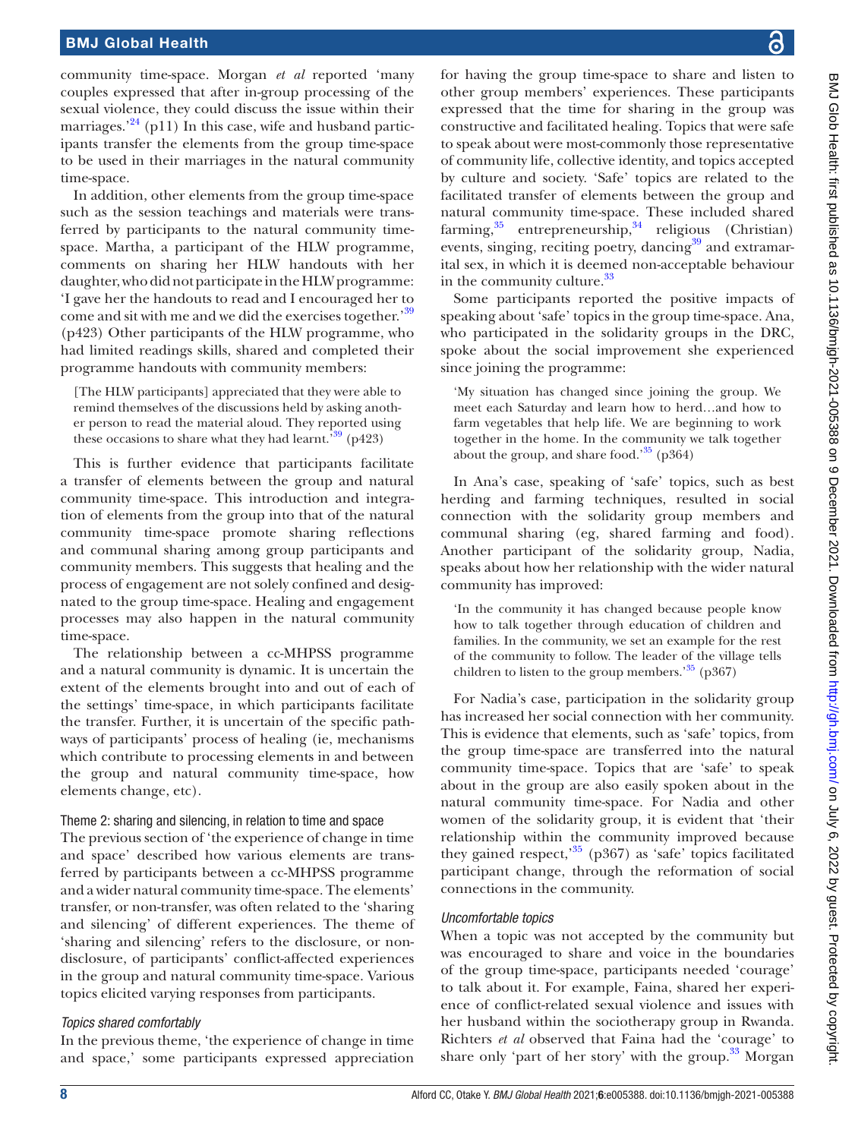community time-space. Morgan *et al* reported 'many couples expressed that after in-group processing of the sexual violence, they could discuss the issue within their marriages.<sup> $24$ </sup> (p11) In this case, wife and husband participants transfer the elements from the group time-space to be used in their marriages in the natural community time-space.

In addition, other elements from the group time-space such as the session teachings and materials were transferred by participants to the natural community timespace. Martha, a participant of the HLW programme, comments on sharing her HLW handouts with her daughter, who did not participate in the HLW programme: 'I gave her the handouts to read and I encouraged her to come and sit with me and we did the exercises together.'[39](#page-11-5) (p423) Other participants of the HLW programme, who had limited readings skills, shared and completed their programme handouts with community members:

[The HLW participants] appreciated that they were able to remind themselves of the discussions held by asking another person to read the material aloud. They reported using these occasions to share what they had learnt.<sup>39</sup> (p423)

This is further evidence that participants facilitate a transfer of elements between the group and natural community time-space. This introduction and integration of elements from the group into that of the natural community time-space promote sharing reflections and communal sharing among group participants and community members. This suggests that healing and the process of engagement are not solely confined and designated to the group time-space. Healing and engagement processes may also happen in the natural community time-space.

The relationship between a cc-MHPSS programme and a natural community is dynamic. It is uncertain the extent of the elements brought into and out of each of the settings' time-space, in which participants facilitate the transfer. Further, it is uncertain of the specific pathways of participants' process of healing (ie, mechanisms which contribute to processing elements in and between the group and natural community time-space, how elements change, etc).

# Theme 2: sharing and silencing, in relation to time and space

The previous section of 'the experience of change in time and space' described how various elements are transferred by participants between a cc-MHPSS programme and a wider natural community time-space. The elements' transfer, or non-transfer, was often related to the 'sharing and silencing' of different experiences. The theme of 'sharing and silencing' refers to the disclosure, or nondisclosure, of participants' conflict-affected experiences in the group and natural community time-space. Various topics elicited varying responses from participants.

# *Topics shared comfortably*

In the previous theme, 'the experience of change in time and space,' some participants expressed appreciation

for having the group time-space to share and listen to other group members' experiences. These participants expressed that the time for sharing in the group was constructive and facilitated healing. Topics that were safe to speak about were most-commonly those representative of community life, collective identity, and topics accepted by culture and society. 'Safe' topics are related to the facilitated transfer of elements between the group and natural community time-space. These included shared farming,  $35$  entrepreneurship,  $34$  religious (Christian) events, singing, reciting poetry, dancing<sup>39</sup> and extramarital sex, in which it is deemed non-acceptable behaviour in the community culture.<sup>[33](#page-10-23)</sup>

Some participants reported the positive impacts of speaking about 'safe' topics in the group time-space. Ana, who participated in the solidarity groups in the DRC, spoke about the social improvement she experienced since joining the programme:

'My situation has changed since joining the group. We meet each Saturday and learn how to herd…and how to farm vegetables that help life. We are beginning to work together in the home. In the community we talk together about the group, and share food.<sup>35</sup> (p364)

In Ana's case, speaking of 'safe' topics, such as best herding and farming techniques, resulted in social connection with the solidarity group members and communal sharing (eg, shared farming and food). Another participant of the solidarity group, Nadia, speaks about how her relationship with the wider natural community has improved:

'In the community it has changed because people know how to talk together through education of children and families. In the community, we set an example for the rest of the community to follow. The leader of the village tells children to listen to the group members.<sup>35</sup> (p367)

For Nadia's case, participation in the solidarity group has increased her social connection with her community. This is evidence that elements, such as 'safe' topics, from the group time-space are transferred into the natural community time-space. Topics that are 'safe' to speak about in the group are also easily spoken about in the natural community time-space. For Nadia and other women of the solidarity group, it is evident that 'their relationship within the community improved because they gained respect,<sup>35</sup> (p367) as 'safe' topics facilitated participant change, through the reformation of social connections in the community.

# *Uncomfortable topics*

When a topic was not accepted by the community but was encouraged to share and voice in the boundaries of the group time-space, participants needed 'courage' to talk about it. For example, Faina, shared her experience of conflict-related sexual violence and issues with her husband within the sociotherapy group in Rwanda. Richters *et al* observed that Faina had the 'courage' to share only 'part of her story' with the group. $33$  Morgan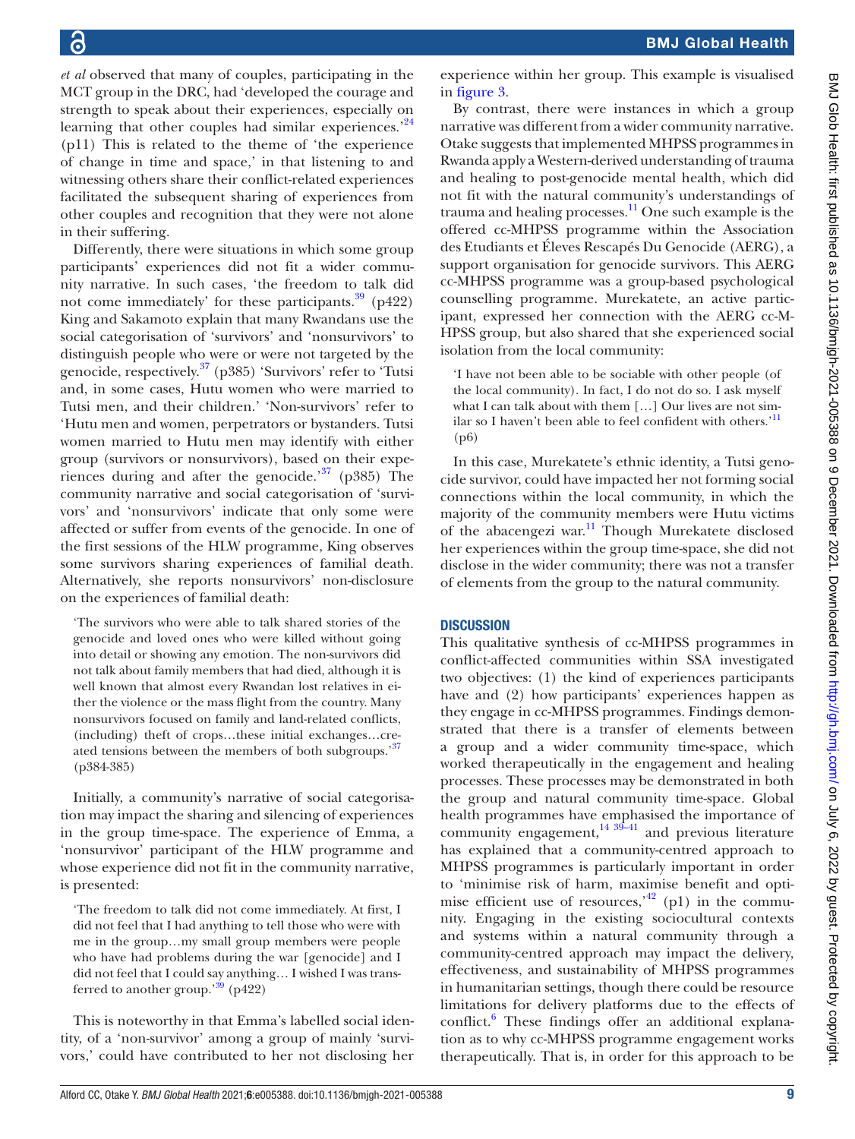*et al* observed that many of couples, participating in the MCT group in the DRC, had 'developed the courage and strength to speak about their experiences, especially on learning that other couples had similar experiences.<sup>'[24](#page-10-25)</sup> (p11) This is related to the theme of 'the experience of change in time and space,' in that listening to and witnessing others share their conflict-related experiences facilitated the subsequent sharing of experiences from other couples and recognition that they were not alone in their suffering.

Differently, there were situations in which some group participants' experiences did not fit a wider community narrative. In such cases, 'the freedom to talk did not come immediately' for these participants. $39$  (p422) King and Sakamoto explain that many Rwandans use the social categorisation of 'survivors' and 'nonsurvivors' to distinguish people who were or were not targeted by the genocide, respectively.[37](#page-11-3) (p385) 'Survivors' refer to 'Tutsi and, in some cases, Hutu women who were married to Tutsi men, and their children.' 'Non-survivors' refer to 'Hutu men and women, perpetrators or bystanders. Tutsi women married to Hutu men may identify with either group (survivors or nonsurvivors), based on their experiences during and after the genocide.<sup>37</sup> (p385) The community narrative and social categorisation of 'survivors' and 'nonsurvivors' indicate that only some were affected or suffer from events of the genocide. In one of the first sessions of the HLW programme, King observes some survivors sharing experiences of familial death. Alternatively, she reports nonsurvivors' non-disclosure on the experiences of familial death:

'The survivors who were able to talk shared stories of the genocide and loved ones who were killed without going into detail or showing any emotion. The non-survivors did not talk about family members that had died, although it is well known that almost every Rwandan lost relatives in either the violence or the mass flight from the country. Many nonsurvivors focused on family and land-related conflicts, (including) theft of crops…these initial exchanges…created tensions between the members of both subgroups.'<sup>37</sup> (p384-385)

Initially, a community's narrative of social categorisation may impact the sharing and silencing of experiences in the group time-space. The experience of Emma, a 'nonsurvivor' participant of the HLW programme and whose experience did not fit in the community narrative, is presented:

'The freedom to talk did not come immediately. At first, I did not feel that I had anything to tell those who were with me in the group…my small group members were people who have had problems during the war [genocide] and I did not feel that I could say anything… I wished I was transferred to another group.<sup>39</sup> (p422)

This is noteworthy in that Emma's labelled social identity, of a 'non-survivor' among a group of mainly 'survivors,' could have contributed to her not disclosing her

experience within her group. This example is visualised in [figure](#page-5-0) 3.

By contrast, there were instances in which a group narrative was different from a wider community narrative. Otake suggests that implemented MHPSS programmes in Rwanda apply a Western-derived understanding of trauma and healing to post-genocide mental health, which did not fit with the natural community's understandings of trauma and healing processes. $\frac{11}{10}$  One such example is the offered cc-MHPSS programme within the Association des Etudiants et Éleves Rescapés Du Genocide (AERG), a support organisation for genocide survivors. This AERG cc-MHPSS programme was a group-based psychological counselling programme. Murekatete, an active participant, expressed her connection with the AERG cc-M-HPSS group, but also shared that she experienced social isolation from the local community:

'I have not been able to be sociable with other people (of the local community). In fact, I do not do so. I ask myself what I can talk about with them […] Our lives are not sim-ilar so I haven't been able to feel confident with others.<sup>['11](#page-10-9)</sup> (p6)

In this case, Murekatete's ethnic identity, a Tutsi genocide survivor, could have impacted her not forming social connections within the local community, in which the majority of the community members were Hutu victims of the abacengezi war.<sup>11</sup> Though Murekatete disclosed her experiences within the group time-space, she did not disclose in the wider community; there was not a transfer of elements from the group to the natural community.

# **DISCUSSION**

This qualitative synthesis of cc-MHPSS programmes in conflict-affected communities within SSA investigated two objectives: (1) the kind of experiences participants have and (2) how participants' experiences happen as they engage in cc-MHPSS programmes. Findings demonstrated that there is a transfer of elements between a group and a wider community time-space, which worked therapeutically in the engagement and healing processes. These processes may be demonstrated in both the group and natural community time-space. Global health programmes have emphasised the importance of community engagement, $14 \frac{39-41}{20}$  and previous literature has explained that a community-centred approach to MHPSS programmes is particularly important in order to 'minimise risk of harm, maximise benefit and optimise efficient use of resources,<sup> $42$ </sup> (p1) in the community. Engaging in the existing sociocultural contexts and systems within a natural community through a community-centred approach may impact the delivery, effectiveness, and sustainability of MHPSS programmes in humanitarian settings, though there could be resource limitations for delivery platforms due to the effects of conflict.<sup>6</sup> These findings offer an additional explanation as to why cc-MHPSS programme engagement works therapeutically. That is, in order for this approach to be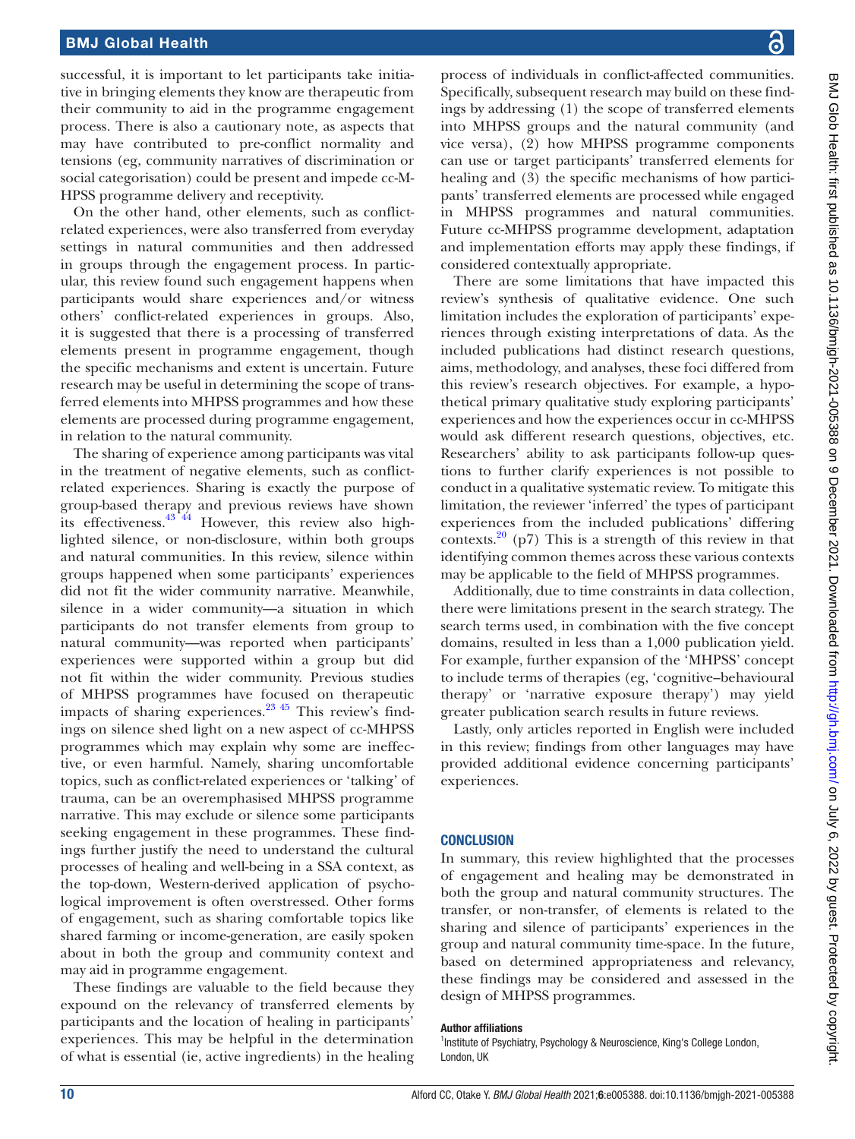successful, it is important to let participants take initiative in bringing elements they know are therapeutic from their community to aid in the programme engagement process. There is also a cautionary note, as aspects that may have contributed to pre-conflict normality and tensions (eg, community narratives of discrimination or social categorisation) could be present and impede cc-M-HPSS programme delivery and receptivity.

On the other hand, other elements, such as conflictrelated experiences, were also transferred from everyday settings in natural communities and then addressed in groups through the engagement process. In particular, this review found such engagement happens when participants would share experiences and/or witness others' conflict-related experiences in groups. Also, it is suggested that there is a processing of transferred elements present in programme engagement, though the specific mechanisms and extent is uncertain. Future research may be useful in determining the scope of transferred elements into MHPSS programmes and how these elements are processed during programme engagement, in relation to the natural community.

The sharing of experience among participants was vital in the treatment of negative elements, such as conflictrelated experiences. Sharing is exactly the purpose of group-based therapy and previous reviews have shown its effectiveness. $43 \times 44$  However, this review also highlighted silence, or non-disclosure, within both groups and natural communities. In this review, silence within groups happened when some participants' experiences did not fit the wider community narrative. Meanwhile, silence in a wider community—a situation in which participants do not transfer elements from group to natural community—was reported when participants' experiences were supported within a group but did not fit within the wider community. Previous studies of MHPSS programmes have focused on therapeutic impacts of sharing experiences.<sup>23 45</sup> This review's findings on silence shed light on a new aspect of cc-MHPSS programmes which may explain why some are ineffective, or even harmful. Namely, sharing uncomfortable topics, such as conflict-related experiences or 'talking' of trauma, can be an overemphasised MHPSS programme narrative. This may exclude or silence some participants seeking engagement in these programmes. These findings further justify the need to understand the cultural processes of healing and well-being in a SSA context, as the top-down, Western-derived application of psychological improvement is often overstressed. Other forms of engagement, such as sharing comfortable topics like shared farming or income-generation, are easily spoken about in both the group and community context and may aid in programme engagement.

These findings are valuable to the field because they expound on the relevancy of transferred elements by participants and the location of healing in participants' experiences. This may be helpful in the determination of what is essential (ie, active ingredients) in the healing

process of individuals in conflict-affected communities. Specifically, subsequent research may build on these findings by addressing (1) the scope of transferred elements into MHPSS groups and the natural community (and vice versa), (2) how MHPSS programme components can use or target participants' transferred elements for healing and (3) the specific mechanisms of how participants' transferred elements are processed while engaged in MHPSS programmes and natural communities. Future cc-MHPSS programme development, adaptation and implementation efforts may apply these findings, if considered contextually appropriate.

There are some limitations that have impacted this review's synthesis of qualitative evidence. One such limitation includes the exploration of participants' experiences through existing interpretations of data. As the included publications had distinct research questions, aims, methodology, and analyses, these foci differed from this review's research objectives. For example, a hypothetical primary qualitative study exploring participants' experiences and how the experiences occur in cc-MHPSS would ask different research questions, objectives, etc. Researchers' ability to ask participants follow-up questions to further clarify experiences is not possible to conduct in a qualitative systematic review. To mitigate this limitation, the reviewer 'inferred' the types of participant experiences from the included publications' differing contexts. $20$  (p7) This is a strength of this review in that identifying common themes across these various contexts may be applicable to the field of MHPSS programmes.

Additionally, due to time constraints in data collection, there were limitations present in the search strategy. The search terms used, in combination with the five concept domains, resulted in less than a 1,000 publication yield. For example, further expansion of the 'MHPSS' concept to include terms of therapies (eg, 'cognitive–behavioural therapy' or 'narrative exposure therapy') may yield greater publication search results in future reviews.

Lastly, only articles reported in English were included in this review; findings from other languages may have provided additional evidence concerning participants' experiences.

#### **CONCLUSION**

In summary, this review highlighted that the processes of engagement and healing may be demonstrated in both the group and natural community structures. The transfer, or non-transfer, of elements is related to the sharing and silence of participants' experiences in the group and natural community time-space. In the future, based on determined appropriateness and relevancy, these findings may be considered and assessed in the design of MHPSS programmes.

#### Author affiliations

<sup>1</sup>Institute of Psychiatry, Psychology & Neuroscience, King's College London, London, UK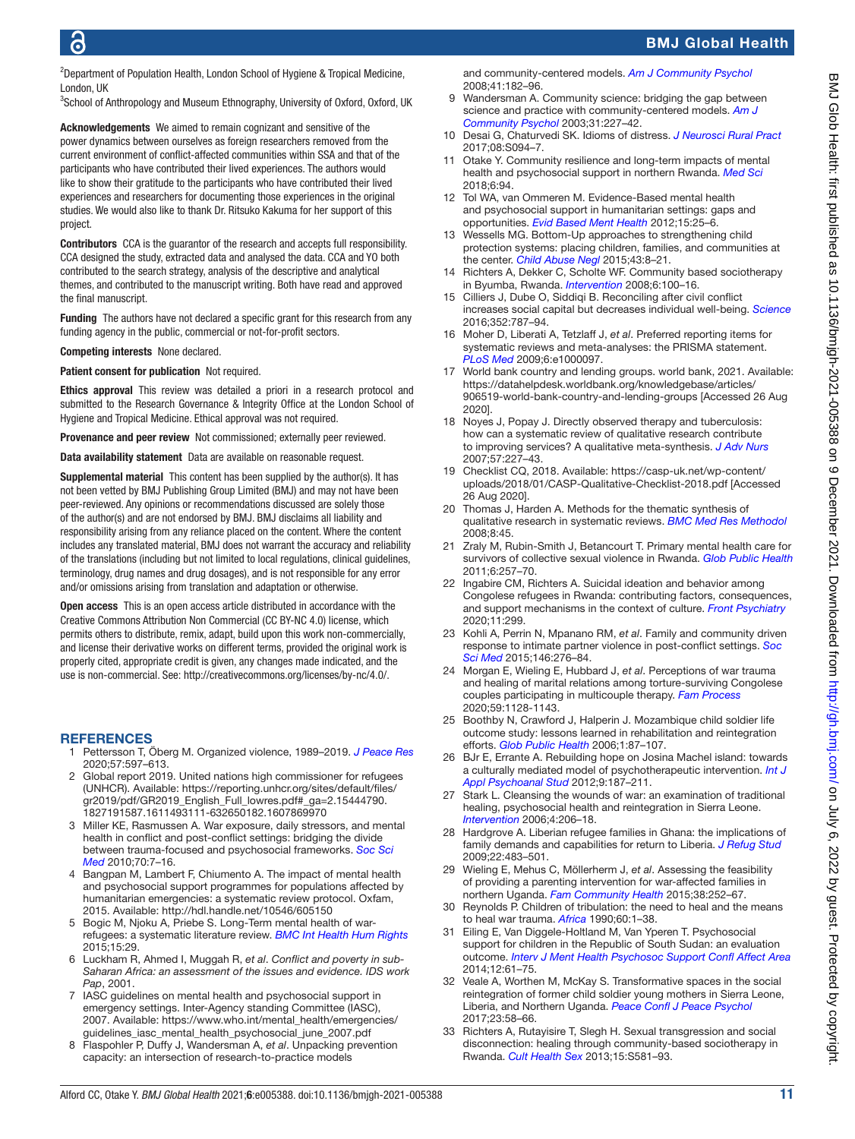<sup>2</sup>Department of Population Health, London School of Hygiene & Tropical Medicine, London, UK

<sup>3</sup>School of Anthropology and Museum Ethnography, University of Oxford, Oxford, UK

Acknowledgements We aimed to remain cognizant and sensitive of the power dynamics between ourselves as foreign researchers removed from the current environment of conflict-affected communities within SSA and that of the participants who have contributed their lived experiences. The authors would like to show their gratitude to the participants who have contributed their lived experiences and researchers for documenting those experiences in the original studies. We would also like to thank Dr. Ritsuko Kakuma for her support of this project.

Contributors CCA is the guarantor of the research and accepts full responsibility. CCA designed the study, extracted data and analysed the data. CCA and YO both contributed to the search strategy, analysis of the descriptive and analytical themes, and contributed to the manuscript writing. Both have read and approved the final manuscript.

Funding The authors have not declared a specific grant for this research from any funding agency in the public, commercial or not-for-profit sectors.

Competing interests None declared.

Patient consent for publication Not required.

Ethics approval This review was detailed a priori in a research protocol and submitted to the Research Governance & Integrity Office at the London School of Hygiene and Tropical Medicine. Ethical approval was not required.

Provenance and peer review Not commissioned; externally peer reviewed.

Data availability statement Data are available on reasonable request.

Supplemental material This content has been supplied by the author(s). It has not been vetted by BMJ Publishing Group Limited (BMJ) and may not have been peer-reviewed. Any opinions or recommendations discussed are solely those of the author(s) and are not endorsed by BMJ. BMJ disclaims all liability and responsibility arising from any reliance placed on the content. Where the content includes any translated material, BMJ does not warrant the accuracy and reliability of the translations (including but not limited to local regulations, clinical guidelines, terminology, drug names and drug dosages), and is not responsible for any error and/or omissions arising from translation and adaptation or otherwise.

Open access This is an open access article distributed in accordance with the Creative Commons Attribution Non Commercial (CC BY-NC 4.0) license, which permits others to distribute, remix, adapt, build upon this work non-commercially, and license their derivative works on different terms, provided the original work is properly cited, appropriate credit is given, any changes made indicated, and the use is non-commercial. See:<http://creativecommons.org/licenses/by-nc/4.0/>.

#### **REFERENCES**

- <span id="page-10-0"></span>1 Pettersson T, Öberg M. Organized violence, 1989–2019. *[J Peace Res](http://dx.doi.org/10.1177/0022343320934986)* 2020;57:597–613.
- <span id="page-10-1"></span>2 Global report 2019. United nations high commissioner for refugees (UNHCR). Available: [https://reporting.unhcr.org/sites/default/files/](https://reporting.unhcr.org/sites/default/files/gr2019/pdf/GR2019_English_Full_lowres.pdf#_ga=2.15444790.1827191587.1611493111-632650182.1607869970) [gr2019/pdf/GR2019\\_English\\_Full\\_lowres.pdf#\\_ga=2.15444790.](https://reporting.unhcr.org/sites/default/files/gr2019/pdf/GR2019_English_Full_lowres.pdf#_ga=2.15444790.1827191587.1611493111-632650182.1607869970) [1827191587.1611493111-632650182.1607869970](https://reporting.unhcr.org/sites/default/files/gr2019/pdf/GR2019_English_Full_lowres.pdf#_ga=2.15444790.1827191587.1611493111-632650182.1607869970)
- <span id="page-10-2"></span>3 Miller KE, Rasmussen A. War exposure, daily stressors, and mental health in conflict and post-conflict settings: bridging the divide between trauma-focused and psychosocial frameworks. *[Soc Sci](http://dx.doi.org/10.1016/j.socscimed.2009.09.029)  [Med](http://dx.doi.org/10.1016/j.socscimed.2009.09.029)* 2010;70:7–16.
- <span id="page-10-3"></span>4 Bangpan M, Lambert F, Chiumento A. The impact of mental health and psychosocial support programmes for populations affected by humanitarian emergencies: a systematic review protocol. Oxfam, 2015. Available: <http://hdl.handle.net/10546/605150>
- 5 Bogic M, Njoku A, Priebe S. Long-Term mental health of warrefugees: a systematic literature review. *[BMC Int Health Hum Rights](http://dx.doi.org/10.1186/s12914-015-0064-9)* 2015;15:29.
- <span id="page-10-4"></span>6 Luckham R, Ahmed I, Muggah R, *et al*. *Conflict and poverty in sub-Saharan Africa: an assessment of the issues and evidence. IDS work Pap*, 2001.
- <span id="page-10-5"></span>7 IASC guidelines on mental health and psychosocial support in emergency settings. Inter-Agency standing Committee (IASC), 2007. Available: [https://www.who.int/mental\\_health/emergencies/](https://www.who.int/mental_health/emergencies/guidelines_iasc_mental_health_psychosocial_june_2007.pdf) [guidelines\\_iasc\\_mental\\_health\\_psychosocial\\_june\\_2007.pdf](https://www.who.int/mental_health/emergencies/guidelines_iasc_mental_health_psychosocial_june_2007.pdf)
- <span id="page-10-6"></span>8 Flaspohler P, Duffy J, Wandersman A, *et al*. Unpacking prevention capacity: an intersection of research-to-practice models

and community-centered models. *[Am J Community Psychol](http://dx.doi.org/10.1007/s10464-008-9162-3)* 2008;41:182–96.

- <span id="page-10-7"></span>Wandersman A. Community science: bridging the gap between science and practice with community-centered models. *[Am J](http://dx.doi.org/10.1023/A:1023954503247)  [Community Psychol](http://dx.doi.org/10.1023/A:1023954503247)* 2003;31:227–42.
- <span id="page-10-8"></span>10 Desai G, Chaturvedi SK. Idioms of distress. *[J Neurosci Rural Pract](http://dx.doi.org/10.4103/jnrp.jnrp_235_17)* 2017;08:S094–7.
- <span id="page-10-9"></span>11 Otake Y. Community resilience and long-term impacts of mental health and psychosocial support in northern Rwanda. *[Med Sci](http://dx.doi.org/10.3390/medsci6040094)* 2018;6:94.
- <span id="page-10-10"></span>12 Tol WA, van Ommeren M. Evidence-Based mental health and psychosocial support in humanitarian settings: gaps and opportunities. *[Evid Based Ment Health](http://dx.doi.org/10.1136/ebmental-2012-100644)* 2012;15:25–6.
- <span id="page-10-11"></span>13 Wessells MG. Bottom-Up approaches to strengthening child protection systems: placing children, families, and communities at the center. *[Child Abuse Negl](http://dx.doi.org/10.1016/j.chiabu.2015.04.006)* 2015;43:8–21.
- <span id="page-10-12"></span>14 Richters A, Dekker C, Scholte WF. Community based sociotherapy in Byumba, Rwanda. *[Intervention](http://dx.doi.org/10.1097/WTF.0b013e328307ed33)* 2008;6:100–16.
- <span id="page-10-13"></span>15 Cilliers J, Dube O, Siddiqi B. Reconciling after civil conflict increases social capital but decreases individual well-being. *[Science](http://dx.doi.org/10.1126/science.aad9682)* 2016;352:787–94.
- <span id="page-10-14"></span>16 Moher D, Liberati A, Tetzlaff J, *et al*. Preferred reporting items for systematic reviews and meta-analyses: the PRISMA statement. *[PLoS Med](http://dx.doi.org/10.1371/journal.pmed.1000097)* 2009;6:e1000097.
- <span id="page-10-15"></span>17 World bank country and lending groups. world bank, 2021. Available: [https://datahelpdesk.worldbank.org/knowledgebase/articles/](https://datahelpdesk.worldbank.org/knowledgebase/articles/906519-world-bank-country-and-lending-groups) [906519-world-bank-country-and-lending-groups](https://datahelpdesk.worldbank.org/knowledgebase/articles/906519-world-bank-country-and-lending-groups) [Accessed 26 Aug 2020].
- <span id="page-10-16"></span>18 Noyes J, Popay J. Directly observed therapy and tuberculosis: how can a systematic review of qualitative research contribute to improving services? A qualitative meta-synthesis. *[J Adv Nurs](http://dx.doi.org/10.1111/j.1365-2648.2006.04092.x)* 2007;57:227–43.
- <span id="page-10-17"></span>19 Checklist CQ, 2018. Available: [https://casp-uk.net/wp-content/](https://casp-uk.net/wp-content/uploads/2018/01/CASP-Qualitative-Checklist-2018.pdf) [uploads/2018/01/CASP-Qualitative-Checklist-2018.pdf](https://casp-uk.net/wp-content/uploads/2018/01/CASP-Qualitative-Checklist-2018.pdf) [Accessed 26 Aug 2020].
- <span id="page-10-18"></span>20 Thomas J, Harden A. Methods for the thematic synthesis of qualitative research in systematic reviews. *[BMC Med Res Methodol](http://dx.doi.org/10.1186/1471-2288-8-45)* 2008;8:45.
- <span id="page-10-22"></span>21 Zraly M, Rubin-Smith J, Betancourt T. Primary mental health care for survivors of collective sexual violence in Rwanda. *[Glob Public Health](http://dx.doi.org/10.1080/17441692.2010.493165)* 2011;6:257–70.
- <span id="page-10-26"></span>22 Ingabire CM, Richters A. Suicidal ideation and behavior among Congolese refugees in Rwanda: contributing factors, consequences, and support mechanisms in the context of culture. *[Front Psychiatry](http://dx.doi.org/10.3389/fpsyt.2020.00299)* 2020;11:299.
- <span id="page-10-24"></span>23 Kohli A, Perrin N, Mpanano RM, *et al*. Family and community driven response to intimate partner violence in post-conflict settings. *[Soc](http://dx.doi.org/10.1016/j.socscimed.2015.10.011)  [Sci Med](http://dx.doi.org/10.1016/j.socscimed.2015.10.011)* 2015;146:276–84.
- <span id="page-10-25"></span>24 Morgan E, Wieling E, Hubbard J, *et al*. Perceptions of war trauma and healing of marital relations among torture-surviving Congolese couples participating in multicouple therapy. *[Fam Process](http://dx.doi.org/10.1111/famp.12487)* 2020;59:1128-1143.
- <span id="page-10-27"></span>25 Boothby N, Crawford J, Halperin J. Mozambique child soldier life outcome study: lessons learned in rehabilitation and reintegration efforts. *[Glob Public Health](http://dx.doi.org/10.1080/17441690500324347)* 2006;1:87–107.
- <span id="page-10-28"></span>26 BJr E, Errante A. Rebuilding hope on Josina Machel island: towards a culturally mediated model of psychotherapeutic intervention. *[Int J](http://dx.doi.org/10.1002/aps.1324)  [Appl Psychoanal Stud](http://dx.doi.org/10.1002/aps.1324)* 2012;9:187–211.
- <span id="page-10-21"></span>27 Stark L. Cleansing the wounds of war: an examination of traditional healing, psychosocial health and reintegration in Sierra Leone. *[Intervention](http://dx.doi.org/10.1097/WTF.0b013e328011a7d2)* 2006;4:206–18.
- <span id="page-10-19"></span>28 Hardgrove A. Liberian refugee families in Ghana: the implications of family demands and capabilities for return to Liberia. *[J Refug Stud](http://dx.doi.org/10.1093/jrs/fep029)* 2009;22:483–501.
- <span id="page-10-29"></span>29 Wieling E, Mehus C, Möllerherm J, *et al*. Assessing the feasibility of providing a parenting intervention for war-affected families in northern Uganda. *[Fam Community Health](http://dx.doi.org/10.1097/FCH.0000000000000064)* 2015;38:252–67.
- <span id="page-10-30"></span>30 Reynolds P. Children of tribulation: the need to heal and the means to heal war trauma. *[Africa](http://dx.doi.org/10.2307/1160425)* 1990;60:1–38.
- <span id="page-10-20"></span>31 Eiling E, Van Diggele-Holtland M, Van Yperen T. Psychosocial support for children in the Republic of South Sudan: an evaluation outcome. *[Interv J Ment Health Psychosoc Support Confl Affect Area](http://dx.doi.org/10.1097/WTF.0000000000000023)* 2014;12:61–75.
- <span id="page-10-31"></span>32 Veale A, Worthen M, McKay S. Transformative spaces in the social reintegration of former child soldier young mothers in Sierra Leone, Liberia, and Northern Uganda. *[Peace Confl J Peace Psychol](http://dx.doi.org/10.1037/pac0000212)* 2017;23:58–66.
- <span id="page-10-23"></span>33 Richters A, Rutayisire T, Slegh H. Sexual transgression and social disconnection: healing through community-based sociotherapy in Rwanda. *[Cult Health Sex](http://dx.doi.org/10.1080/13691058.2013.780261)* 2013;15:S581–93.